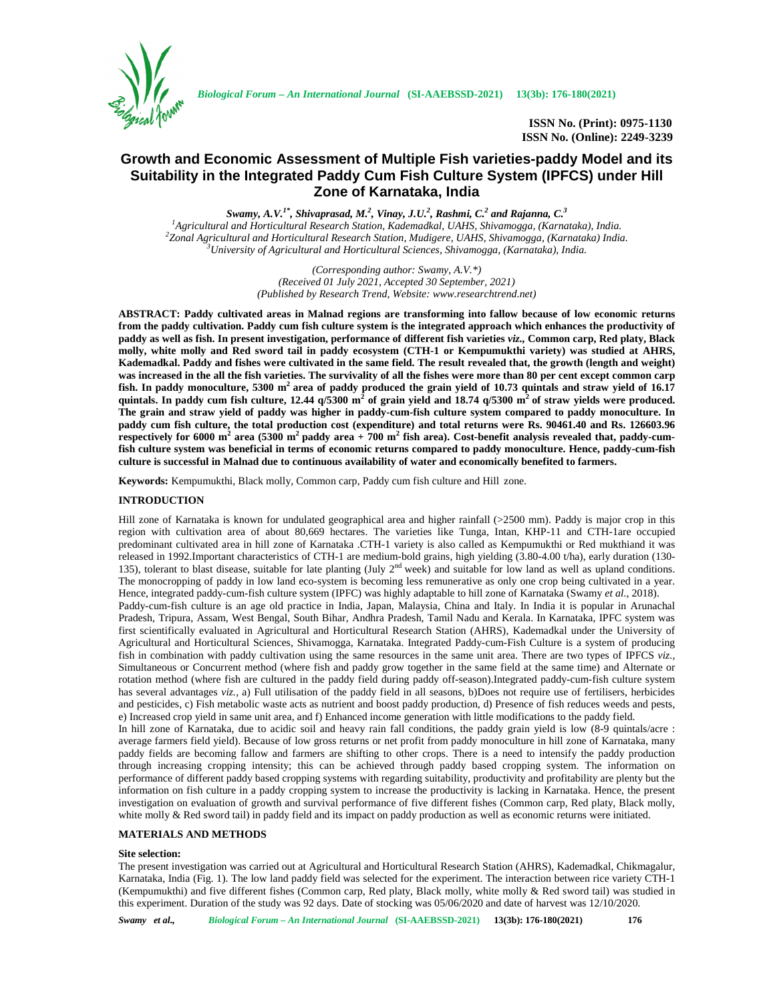

**ISSN No. (Print): 0975-1130 ISSN No. (Online): 2249-3239**

# **Growth and Economic Assessment of Multiple Fish varieties-paddy Model and its Suitability in the Integrated Paddy Cum Fish Culture System (IPFCS) under Hill Zone of Karnataka, India**

 $Swamy, A. V.^{I^*}, Shivaprased, M.^{2}, Vinay, J. U.^{2}, Rashmi, C.^{2}$  and Rajanna,  $C.^{3}$ <sup>1</sup>Agricultural and Horticultural Research Station, Kademadkal, UAHS, Shivamogga, (Karnataka), India.<br><sup>2</sup>Zonal Agricultural and Horticultural Research Station, Mudigere, UAHS, Shivamogga, (Karnataka) India.<br><sup>3</sup>University

> *(Corresponding author: Swamy, A.V.\*) (Received 01 July 2021, Accepted 30 September, 2021) (Published by Research Trend, Website: <www.researchtrend.net>)*

**ABSTRACT: Paddy cultivated areas in Malnad regions are transforming into fallow because of low economic returns from the paddy cultivation. Paddy cum fish culture system is the integrated approach which enhances the productivity of paddy as well as fish. In present investigation, performance of different fish varieties** *viz.,* **Common carp, Red platy, Black molly, white molly and Red sword tail in paddy ecosystem (CTH-1 or Kempumukthi variety) was studied at AHRS, Kademadkal. Paddy and fishes were cultivated in the same field. The result revealed that, the growth (length and weight) was increased in the all the fish varieties. The survivality of all the fishes were more than 80 per cent except common carp fish. In paddy monoculture, 5300 m<sup>2</sup> area of paddy produced the grain yield of 10.73 quintals and straw yield of 16.17 quintals. In paddy cum fish culture, 12.44 q/5300 m<sup>2</sup> of grain yield and 18.74 q/5300 m<sup>2</sup> of straw yields were produced. The grain and straw yield of paddy was higher in paddy-cum-fish culture system compared to paddy monoculture. In paddy cum fish culture, the total production cost (expenditure) and total returns were Rs. 90461.40 and Rs. 126603.96 respectively for 6000 m<sup>2</sup> area (5300 m<sup>2</sup> paddy area + 700 m<sup>2</sup> fish area). Cost-benefit analysis revealed that, paddy-cumfish culture system was beneficial in terms of economic returns compared to paddy monoculture. Hence, paddy-cum-fish culture is successful in Malnad due to continuous availability of water and economically benefited to farmers.**

**Keywords:** Kempumukthi, Black molly, Common carp, Paddy cum fish culture and Hill zone.

## **INTRODUCTION**

Hill zone of Karnataka is known for undulated geographical area and higher rainfall (>2500 mm). Paddy is major crop in this region with cultivation area of about 80,669 hectares. The varieties like Tunga, Intan, KHP-11 and CTH-1are occupied predominant cultivated area in hill zone of Karnataka .CTH-1 variety is also called as Kempumukthi or Red mukthiand it was released in 1992.Important characteristics of CTH-1 are medium-bold grains, high yielding (3.80-4.00 t/ha), early duration (130- 135), tolerant to blast disease, suitable for late planting (July  $2<sup>nd</sup>$  week) and suitable for low land as well as upland conditions. The monocropping of paddy in low land eco-system is becoming less remunerative as only one crop being cultivated in a year. Hence, integrated paddy-cum-fish culture system (IPFC) was highly adaptable to hill zone of Karnataka (Swamy *et al.,* 2018). Paddy-cum-fish culture is an age old practice in India, Japan, Malaysia, China and Italy. In India it is popular in Arunachal Pradesh, Tripura, Assam, West Bengal, South Bihar, Andhra Pradesh, Tamil Nadu and Kerala. In Karnataka, IPFC system was first scientifically evaluated in Agricultural and Horticultural Research Station (AHRS), Kademadkal under the University of Agricultural and Horticultural Sciences, Shivamogga, Karnataka. Integrated Paddy-cum-Fish Culture is a system of producing fish in combination with paddy cultivation using the same resources in the same unit area. There are two types of IPFCS *viz.,* Simultaneous or Concurrent method (where fish and paddy grow together in the same field at the same time) and Alternate or rotation method (where fish are cultured in the paddy field during paddy off-season).Integrated paddy-cum-fish culture system has several advantages *viz.,* a) Full utilisation of the paddy field in all seasons, b)Does not require use of fertilisers, herbicides and pesticides, c) Fish metabolic waste acts as nutrient and boost paddy production, d) Presence of fish reduces weeds and pests, e) Increased crop yield in same unit area, and f) Enhanced income generation with little modifications to the paddy field. In hill zone of Karnataka, due to acidic soil and heavy rain fall conditions, the paddy grain yield is low (8-9 quintals/acre :

average farmers field yield). Because of low gross returns or net profit from paddy monoculture in hill zone of Karnataka, many paddy fields are becoming fallow and farmers are shifting to other crops. There is a need to intensify the paddy production through increasing cropping intensity; this can be achieved through paddy based cropping system. The information on performance of different paddy based cropping systems with regarding suitability, productivity and profitability are plenty but the information on fish culture in a paddy cropping system to increase the productivity is lacking in Karnataka. Hence, the present investigation on evaluation of growth and survival performance of five different fishes (Common carp, Red platy, Black molly, white molly & Red sword tail) in paddy field and its impact on paddy production as well as economic returns were initiated.

# **MATERIALS AND METHODS**

# **Site selection:**

The present investigation was carried out at Agricultural and Horticultural Research Station (AHRS), Kademadkal, Chikmagalur, Karnataka, India (Fig. 1). The low land paddy field was selected for the experiment. The interaction between rice variety CTH-1 (Kempumukthi) and five different fishes (Common carp, Red platy, Black molly, white molly & Red sword tail) was studied in this experiment. Duration of the study was 92 days. Date of stocking was 05/06/2020 and date of harvest was 12/10/2020.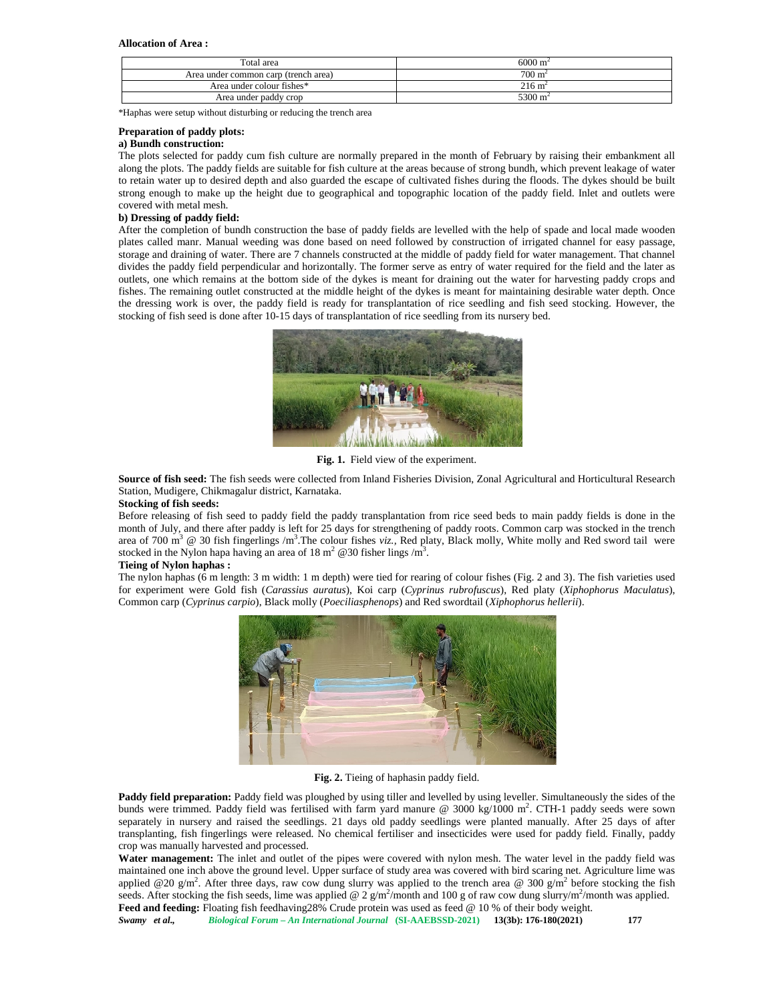#### **Allocation of Area :**

| Total area                           | $6000 \text{ m}^2$           |
|--------------------------------------|------------------------------|
| Area under common carp (trench area) | $700 \text{ m}$ <sup>-</sup> |
| Area under colour fishes*            | $216 \text{ m}^2$            |
| Area under paddy crop                | 5300 m                       |

\*Haphas were setup without disturbing or reducing the trench area

#### **Preparation of paddy plots:**

# **a) Bundh construction:**

The plots selected for paddy cum fish culture are normally prepared in the month of February by raising their embankment all along the plots. The paddy fields are suitable for fish culture at the areas because of strong bundh, which prevent leakage of water to retain water up to desired depth and also guarded the escape of cultivated fishes during the floods. The dykes should be built strong enough to make up the height due to geographical and topographic location of the paddy field. Inlet and outlets were covered with metal mesh.

### **b) Dressing of paddy field:**

After the completion of bundh construction the base of paddy fields are levelled with the help of spade and local made wooden plates called manr. Manual weeding was done based on need followed by construction of irrigated channel for easy passage, storage and draining of water. There are 7 channels constructed at the middle of paddy field for water management. That channel divides the paddy field perpendicular and horizontally. The former serve as entry of water required for the field and the later as outlets, one which remains at the bottom side of the dykes is meant for draining out the water for harvesting paddy crops and fishes. The remaining outlet constructed at the middle height of the dykes is meant for maintaining desirable water depth. Once the dressing work is over, the paddy field is ready for transplantation of rice seedling and fish seed stocking. However, the stocking of fish seed is done after 10-15 days of transplantation of rice seedling from its nursery bed.



**Fig. 1.** Field view of the experiment.

**Source of fish seed:** The fish seeds were collected from Inland Fisheries Division, Zonal Agricultural and Horticultural Research Station, Mudigere, Chikmagalur district, Karnataka.

#### **Stocking of fish seeds:**

Before releasing of fish seed to paddy field the paddy transplantation from rice seed beds to main paddy fields is done in the month of July, and there after paddy is left for 25 days for strengthening of paddy roots. Common carp was stocked in the trench area of 700 m<sup>3</sup> @ 30 fish fingerlings /m<sup>3</sup>. The colour fishes *viz.*, Red platy, Black molly, White molly and Red sword tail were stocked in the Nylon hapa having an area of 18 m<sup>2</sup>  $\omega$  30 fisher lings /m<sup>3</sup>.

#### **Tieing of Nylon haphas :**

The nylon haphas (6 m length: 3 m width: 1 m depth) were tied for rearing of colour fishes (Fig. 2 and 3). The fish varieties used for experiment were Gold fish (*Carassius auratus*), Koi carp (*Cyprinus rubrofuscus*), Red platy (*Xiphophorus Maculatus*), Common carp (*Cyprinus carpio*), Black molly (*Poeciliasphenops*) and Red swordtail (*Xiphophorus hellerii*).



**Fig. 2.** Tieing of haphasin paddy field.

**Paddy field preparation:** Paddy field was ploughed by using tiller and levelled by using leveller. Simultaneously the sides of the bunds were trimmed. Paddy field was fertilised with farm yard manure @ 3000 kg/1000 m<sup>2</sup>. CTH-1 paddy seeds were sown separately in nursery and raised the seedlings. 21 days old paddy seedlings were planted manually. After 25 days of after transplanting, fish fingerlings were released. No chemical fertiliser and insecticides were used for paddy field. Finally, paddy crop was manually harvested and processed.

**Water management:** The inlet and outlet of the pipes were covered with nylon mesh. The water level in the paddy field was maintained one inch above the ground level. Upper surface of study area was covered with bird scaring net. Agriculture lime was applied @20 g/m<sup>2</sup>. After three days, raw cow dung slurry was applied to the trench area @ 300 g/m<sup>2</sup> before stocking the fish seeds. After stocking the fish seeds, lime was applied @ 2  $g/m^2$ /month and 100 g of raw cow dung slurry/m<sup>2</sup>/month was applied. Feed and feeding: Floating fish feedhaving28% Crude protein was used as feed @ 10 % of their body weight.

*Swamy et al., Biological Forum – An International Journal* **(SI-AAEBSSD-2021) 13(3b): 176-180(2021) 177**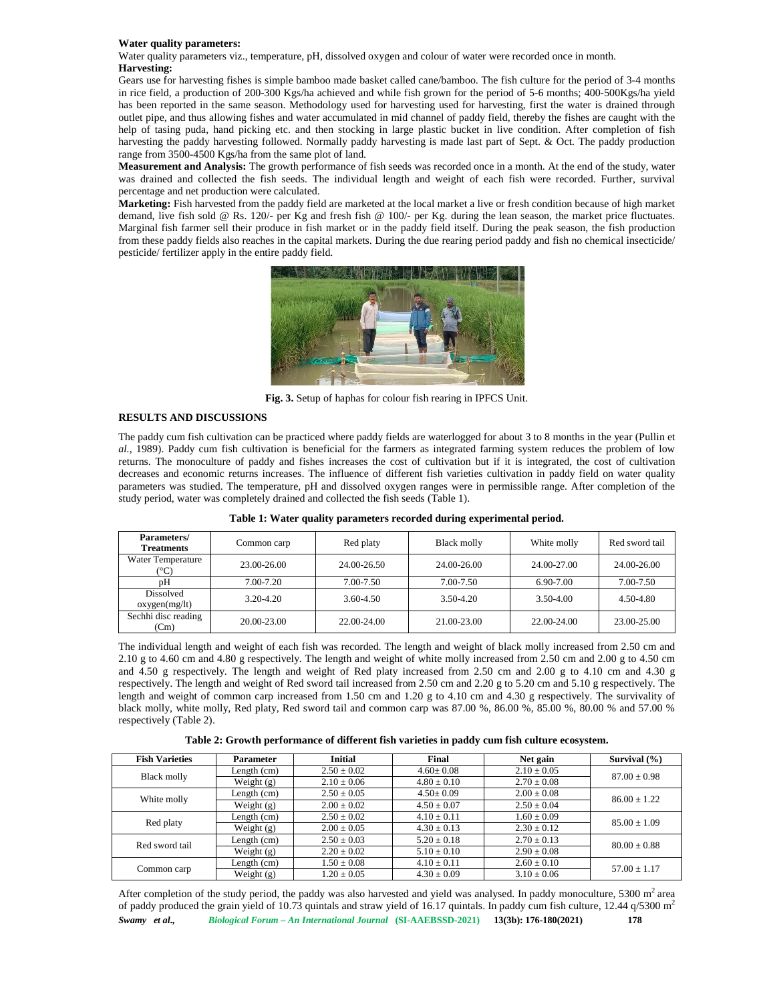#### **Water quality parameters:**

Water quality parameters viz., temperature, pH, dissolved oxygen and colour of water were recorded once in month. **Harvesting:**

Gears use for harvesting fishes is simple bamboo made basket called cane/bamboo. The fish culture for the period of 3-4 months in rice field, a production of 200-300 Kgs/ha achieved and while fish grown for the period of 5-6 months; 400-500Kgs/ha yield has been reported in the same season. Methodology used for harvesting used for harvesting, first the water is drained through outlet pipe, and thus allowing fishes and water accumulated in mid channel of paddy field, thereby the fishes are caught with the help of tasing puda, hand picking etc. and then stocking in large plastic bucket in live condition. After completion of fish harvesting the paddy harvesting followed. Normally paddy harvesting is made last part of Sept. & Oct. The paddy production range from 3500-4500 Kgs/ha from the same plot of land.

**Measurement and Analysis:** The growth performance of fish seeds was recorded once in a month. At the end of the study, water was drained and collected the fish seeds. The individual length and weight of each fish were recorded. Further, survival percentage and net production were calculated.

**Marketing:** Fish harvested from the paddy field are marketed at the local market a live or fresh condition because of high market demand, live fish sold @ Rs. 120/- per Kg and fresh fish @ 100/- per Kg. during the lean season, the market price fluctuates. Marginal fish farmer sell their produce in fish market or in the paddy field itself. During the peak season, the fish production from these paddy fields also reaches in the capital markets. During the due rearing period paddy and fish no chemical insecticide/ pesticide/ fertilizer apply in the entire paddy field.



**Fig. 3.** Setup of haphas for colour fish rearing in IPFCS Unit.

# **RESULTS AND DISCUSSIONS**

The paddy cum fish cultivation can be practiced where paddy fields are waterlogged for about 3 to 8 months in the year (Pullin et *al.*, 1989). Paddy cum fish cultivation is beneficial for the farmers as integrated farming system reduces the problem of low returns. The monoculture of paddy and fishes increases the cost of cultivation but if it is integrated, the cost of cultivation decreases and economic returns increases. The influence of different fish varieties cultivation in paddy field on water quality parameters was studied. The temperature, pH and dissolved oxygen ranges were in permissible range. After completion of the study period, water was completely drained and collected the fish seeds (Table 1).

| Parameters/<br><b>Treatments</b> | Common carp | Red platy   | Black molly | White molly | Red sword tail |
|----------------------------------|-------------|-------------|-------------|-------------|----------------|
| Water Temperature<br>(°C)        | 23.00-26.00 | 24.00-26.50 | 24.00-26.00 | 24.00-27.00 | 24.00-26.00    |
| pH                               | 7.00-7.20   | 7.00-7.50   | 7.00-7.50   | 6.90-7.00   | 7.00-7.50      |
| Dissolved<br>oxygen(mg/lt)       | 3.20-4.20   | 3.60-4.50   | 3.50-4.20   | 3.50-4.00   | 4.50-4.80      |
| Sechhi disc reading<br>(Cm)      | 20.00-23.00 | 22.00-24.00 | 21.00-23.00 | 22.00-24.00 | 23.00-25.00    |

**Table 1: Water quality parameters recorded during experimental period.**

The individual length and weight of each fish was recorded. The length and weight of black molly increased from 2.50 cm and 2.10 g to 4.60 cm and 4.80 g respectively. The length and weight of white molly increased from 2.50 cm and 2.00 g to 4.50 cm and 4.50 g respectively. The length and weight of Red platy increased from 2.50 cm and 2.00 g to 4.10 cm and 4.30 g respectively. The length and weight of Red sword tail increased from 2.50 cm and 2.20 g to 5.20 cm and 5.10 g respectively. The length and weight of common carp increased from 1.50 cm and 1.20 g to 4.10 cm and 4.30 g respectively. The survivality of black molly, white molly, Red platy, Red sword tail and common carp was 87.00 %, 86.00 %, 85.00 %, 80.00 % and 57.00 % respectively (Table 2).

**Table 2: Growth performance of different fish varieties in paddy cum fish culture ecosystem.**

| <b>Fish Varieties</b> | Parameter     | <b>Initial</b>  | Final           | Net gain        | Survival $(\% )$ |
|-----------------------|---------------|-----------------|-----------------|-----------------|------------------|
|                       | Length $(cm)$ | $2.50 \pm 0.02$ | $4.60 \pm 0.08$ | $2.10 \pm 0.05$ | $87.00 \pm 0.98$ |
| Black molly           | Weight $(g)$  | $2.10 \pm 0.06$ | $4.80 \pm 0.10$ | $2.70 \pm 0.08$ |                  |
|                       | Length $(cm)$ | $2.50 \pm 0.05$ | $4.50 \pm 0.09$ | $2.00 \pm 0.08$ | $86.00 \pm 1.22$ |
| White molly           | Weight $(g)$  | $2.00 \pm 0.02$ | $4.50 \pm 0.07$ | $2.50 \pm 0.04$ |                  |
| Red platy             | Length $(cm)$ | $2.50 \pm 0.02$ | $4.10 \pm 0.11$ | $1.60 \pm 0.09$ | $85.00 \pm 1.09$ |
|                       | Weight $(g)$  | $2.00 \pm 0.05$ | $4.30 \pm 0.13$ | $2.30 \pm 0.12$ |                  |
| Red sword tail        | Length $(cm)$ | $2.50 \pm 0.03$ | $5.20 \pm 0.18$ | $2.70 \pm 0.13$ | $80.00 \pm 0.88$ |
|                       | Weight $(g)$  | $2.20 \pm 0.02$ | $5.10 \pm 0.10$ | $2.90 \pm 0.08$ |                  |
| Common carp           | Length (cm)   | $1.50 \pm 0.08$ | $4.10 \pm 0.11$ | $2.60 \pm 0.10$ | $57.00 \pm 1.17$ |
|                       | Weight $(g)$  | $1.20 + 0.05$   | $4.30 + 0.09$   | $3.10 \pm 0.06$ |                  |

*Swamy et al., Biological Forum – An International Journal* **(SI-AAEBSSD-2021) 13(3b): 176-180(2021) 178** After completion of the study period, the paddy was also harvested and yield was analysed. In paddy monoculture,  $5300 \text{ m}^2$  area of paddy produced the grain yield of 10.73 quintals and straw yield of 16.17 quintals. In paddy cum fish culture,  $12.44 q/5300 m<sup>2</sup>$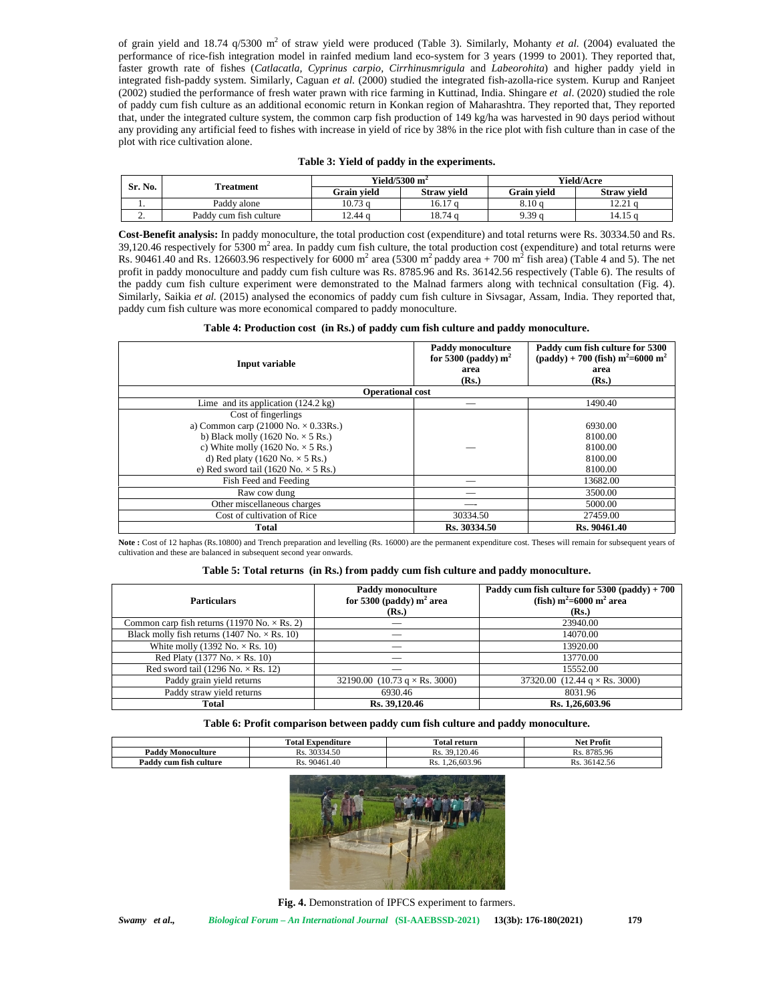of grain yield and 18.74  $q/5300$  m<sup>2</sup> of straw yield were produced (Table 3). Similarly, Mohanty *et al.* (2004) evaluated the performance of rice-fish integration model in rainfed medium land eco-system for 3 years (1999 to 2001). They reported that, faster growth rate of fishes (*Catlacatla, Cyprinus carpio, Cirrhinusmrigula* and *Labeorohita*) and higher paddy yield in integrated fish-paddy system. Similarly, Caguan *et al.* (2000) studied the integrated fish-azolla-rice system. Kurup and Ranjeet (2002) studied the performance of fresh water prawn with rice farming in Kuttinad, India. Shingare *et al*. (2020) studied the role of paddy cum fish culture as an additional economic return in Konkan region of Maharashtra. They reported that, They reported that, under the integrated culture system, the common carp fish production of 149 kg/ha was harvested in 90 days period without any providing any artificial feed to fishes with increase in yield of rice by 38% in the rice plot with fish culture than in case of the plot with rice cultivation alone.

|  |  |  |  | Table 3: Yield of paddy in the experiments. |
|--|--|--|--|---------------------------------------------|
|--|--|--|--|---------------------------------------------|

| Sr. No.  | Treatment              | <b>Yield/5300 m<sup>-</sup></b> |                    | <b>Yield/Acre</b>  |                    |
|----------|------------------------|---------------------------------|--------------------|--------------------|--------------------|
|          |                        | Grain vield                     | <b>Straw vield</b> | <b>Grain vield</b> | <b>Straw vield</b> |
|          | Paddy alone            | 10.73 a                         | 16.17 a            | 8.10 a             | 12.21 c            |
| <u>.</u> | Paddy cum fish culture | 12.44 a                         | 18.74 a            | 9.39 a             | 14.15 c            |

**Cost-Benefit analysis:** In paddy monoculture, the total production cost (expenditure) and total returns were Rs. 30334.50 and Rs. 39,120.46 respectively for 5300  $m^2$  area. In paddy cum fish culture, the total production cost (expenditure) and total returns were Rs. 90461.40 and Rs. 126603.96 respectively for 6000 m<sup>2</sup> area (5300 m<sup>2</sup> paddy area + 700 m<sup>2</sup> fish area) (Table 4 and 5). The net profit in paddy monoculture and paddy cum fish culture was Rs. 8785.96 and Rs. 36142.56 respectively (Table 6). The results of the paddy cum fish culture experiment were demonstrated to the Malnad farmers along with technical consultation (Fig. 4). Similarly, Saikia *et al.* (2015) analysed the economics of paddy cum fish culture in Sivsagar, Assam, India. They reported that, paddy cum fish culture was more economical compared to paddy monoculture.

|  |  |  | Table 4: Production cost (in Rs.) of paddy cum fish culture and paddy monoculture. |
|--|--|--|------------------------------------------------------------------------------------|
|--|--|--|------------------------------------------------------------------------------------|

| Input variable                                | Paddy monoculture<br>for 5300 (paddy) $m^2$<br>area<br>(Rs.) | Paddy cum fish culture for 5300<br>$\text{(paddy)} + 700 \text{ (fish)} \text{ m}^2 = 6000 \text{ m}^2$<br>area<br>(Rs.) |
|-----------------------------------------------|--------------------------------------------------------------|--------------------------------------------------------------------------------------------------------------------------|
|                                               | <b>Operational cost</b>                                      |                                                                                                                          |
| Lime and its application $(124.2 \text{ kg})$ |                                                              | 1490.40                                                                                                                  |
| Cost of fingerlings                           |                                                              |                                                                                                                          |
| a) Common carp (21000 No. $\times$ 0.33Rs.)   |                                                              | 6930.00                                                                                                                  |
| b) Black molly (1620 No. $\times$ 5 Rs.)      |                                                              | 8100.00                                                                                                                  |
| c) White molly (1620 No. $\times$ 5 Rs.)      |                                                              | 8100.00                                                                                                                  |
| d) Red platy (1620 No. $\times$ 5 Rs.)        |                                                              | 8100.00                                                                                                                  |
| e) Red sword tail (1620 No. $\times$ 5 Rs.)   |                                                              | 8100.00                                                                                                                  |
| Fish Feed and Feeding                         |                                                              | 13682.00                                                                                                                 |
| Raw cow dung                                  |                                                              | 3500.00                                                                                                                  |
| Other miscellaneous charges                   |                                                              | 5000.00                                                                                                                  |
| Cost of cultivation of Rice                   | 30334.50                                                     | 27459.00                                                                                                                 |
| Total                                         | Rs. 30334.50                                                 | Rs. 90461.40                                                                                                             |

Note : Cost of 12 haphas (Rs.10800) and Trench preparation and levelling (Rs. 16000) are the permanent expenditure cost. Theses will remain for subsequent years of cultivation and these are balanced in subsequent second year onwards.

#### **Table 5: Total returns (in Rs.) from paddy cum fish culture and paddy monoculture.**

| <b>Particulars</b>                                                 | Paddy monoculture<br>for 5300 (paddy) $m2$ area<br>(Rs.) | Paddy cum fish culture for $5300$ (paddy) + $700$<br>(fish) $m^2$ =6000 m <sup>2</sup> area<br>(Rs.) |
|--------------------------------------------------------------------|----------------------------------------------------------|------------------------------------------------------------------------------------------------------|
| Common carp fish returns (11970 No. $\times$ Rs. 2)                |                                                          | 23940.00                                                                                             |
| Black molly fish returns $(1407 \text{ No.} \times \text{Rs.} 10)$ |                                                          | 14070.00                                                                                             |
| White molly (1392 No. $\times$ Rs. 10)                             |                                                          | 13920.00                                                                                             |
| Red Platy (1377 No. $\times$ Rs. 10)                               |                                                          | 13770.00                                                                                             |
| Red sword tail (1296 No. $\times$ Rs. 12)                          |                                                          | 15552.00                                                                                             |
| Paddy grain yield returns                                          | 32190.00 $(10.73 \text{ g} \times \text{Rs. } 3000)$     | 37320.00 $(12.44 \text{ g} \times \text{Rs. } 3000)$                                                 |
| Paddy straw yield returns                                          | 6930.46                                                  | 8031.96                                                                                              |
| <b>Total</b>                                                       | Rs. 39,120.46                                            | Rs. 1,26,603.96                                                                                      |

**Table 6: Profit comparison between paddy cum fish culture and paddy monoculture.**

|                            | $\cdots$<br>$\sim$<br>fotal<br>Expenditure | m<br>l'otal return            | <b>Net Profit</b>                                  |
|----------------------------|--------------------------------------------|-------------------------------|----------------------------------------------------|
| <b>Paddy Monoculture</b>   | 30334.50<br>$\sim$<br>Rs.                  | 120.46<br>$\sim$<br>30<br>Rs. | 8785.96<br>$\sim$<br>ĸ.                            |
| Padd<br>7 cum fîsh culture | 90461.40<br>$\sim$<br>Rs.                  | :6.603.96<br>INS.             | $\sim$ $\sim$ $\sim$<br>$-2611$<br>Rs.<br>20142.20 |



**Fig. 4.** Demonstration of IPFCS experiment to farmers.